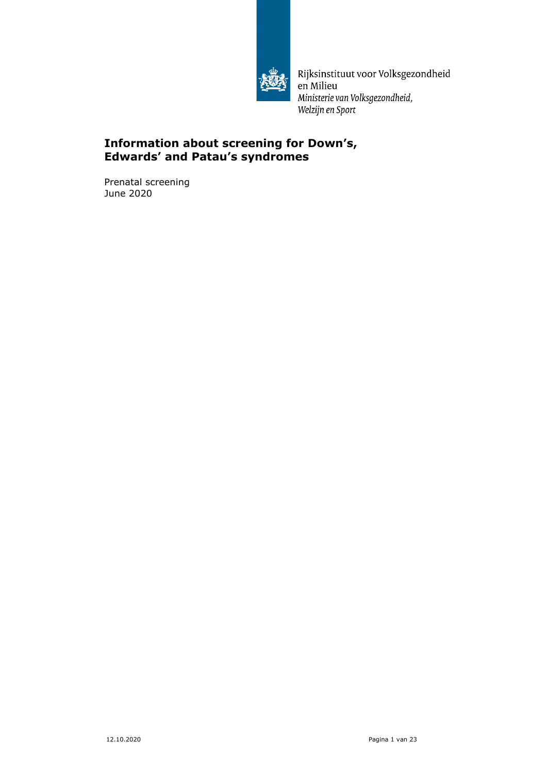

Rijksinstituut voor Volksgezondheid en Milieu Ministerie van Volksgezondheid, Welzijn en Sport

# **Information about screening for Down's, Edwards' and Patau's syndromes**

Prenatal screening June 2020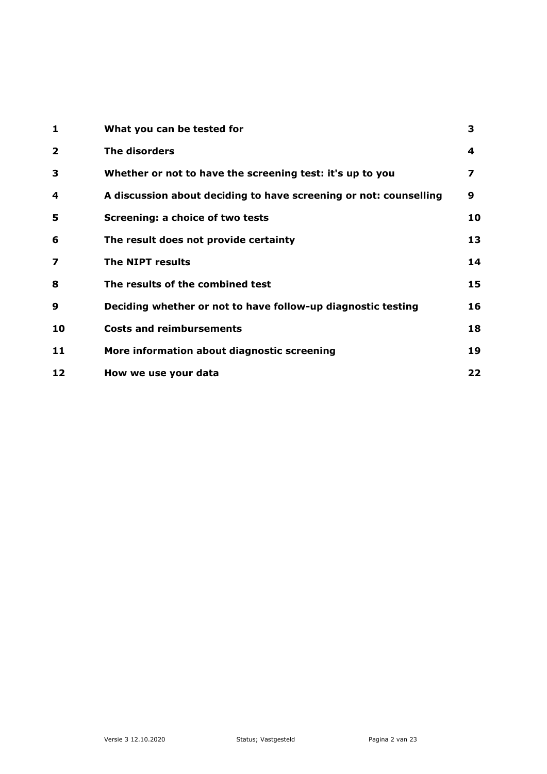| 1                       | What you can be tested for                                        | 3  |
|-------------------------|-------------------------------------------------------------------|----|
| $\overline{\mathbf{2}}$ | The disorders                                                     | 4  |
| 3                       | Whether or not to have the screening test: it's up to you         | 7  |
| 4                       | A discussion about deciding to have screening or not: counselling | 9  |
| 5                       | Screening: a choice of two tests                                  | 10 |
| 6                       | The result does not provide certainty                             | 13 |
| 7                       | The NIPT results                                                  | 14 |
| 8                       | The results of the combined test                                  | 15 |
| 9                       | Deciding whether or not to have follow-up diagnostic testing      | 16 |
| 10                      | <b>Costs and reimbursements</b>                                   | 18 |
| 11                      | More information about diagnostic screening                       | 19 |
| 12                      | How we use your data                                              | 22 |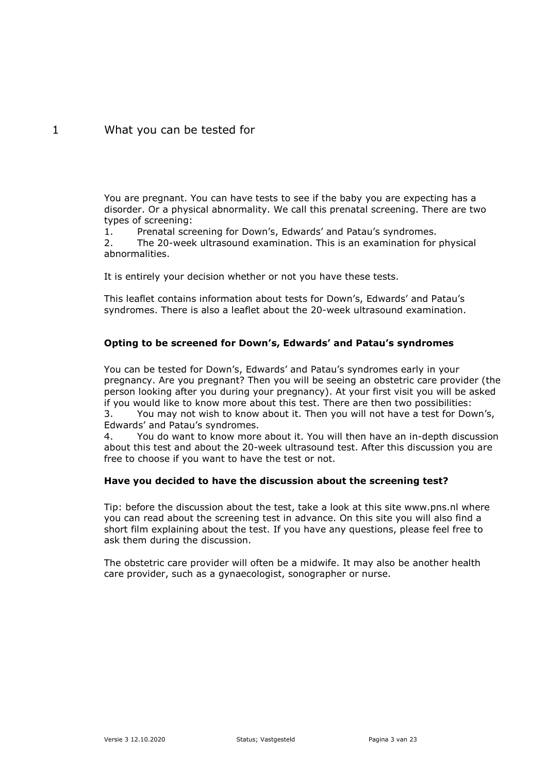# <span id="page-2-0"></span>1 What you can be tested for

You are pregnant. You can have tests to see if the baby you are expecting has a disorder. Or a physical abnormality. We call this prenatal screening. There are two types of screening:

1. Prenatal screening for Down's, Edwards' and Patau's syndromes.

2. The 20-week ultrasound examination. This is an examination for physical abnormalities.

It is entirely your decision whether or not you have these tests.

This leaflet contains information about tests for Down's, Edwards' and Patau's syndromes. There is also a leaflet about the 20-week ultrasound examination.

### **Opting to be screened for Down's, Edwards' and Patau's syndromes**

You can be tested for Down's, Edwards' and Patau's syndromes early in your pregnancy. Are you pregnant? Then you will be seeing an obstetric care provider (the person looking after you during your pregnancy). At your first visit you will be asked if you would like to know more about this test. There are then two possibilities:

3. You may not wish to know about it. Then you will not have a test for Down's, Edwards' and Patau's syndromes.

4. You do want to know more about it. You will then have an in-depth discussion about this test and about the 20-week ultrasound test. After this discussion you are free to choose if you want to have the test or not.

### **Have you decided to have the discussion about the screening test?**

Tip: before the discussion about the test, take a look at this site www.pns.nl where you can read about the screening test in advance. On this site you will also find a short film explaining about the test. If you have any questions, please feel free to ask them during the discussion.

The obstetric care provider will often be a midwife. It may also be another health care provider, such as a gynaecologist, sonographer or nurse.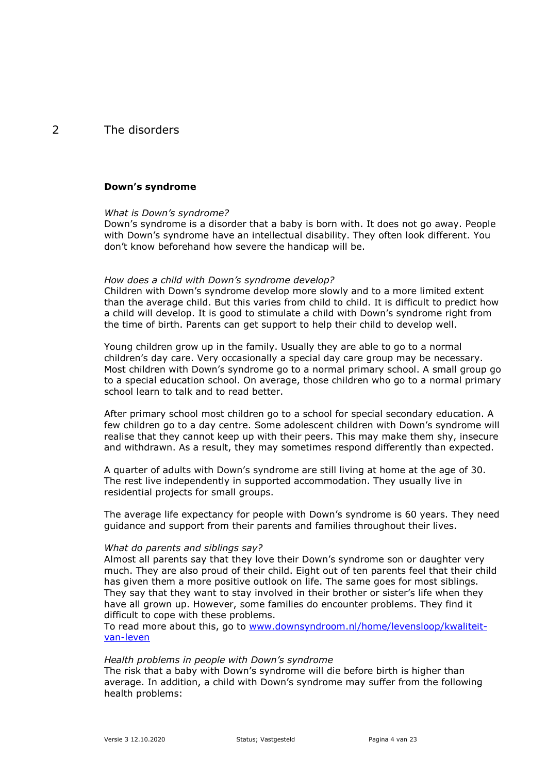# <span id="page-3-0"></span>2 The disorders

#### **Down's syndrome**

#### *What is Down's syndrome?*

Down's syndrome is a disorder that a baby is born with. It does not go away. People with Down's syndrome have an intellectual disability. They often look different. You don't know beforehand how severe the handicap will be.

#### *How does a child with Down's syndrome develop?*

Children with Down's syndrome develop more slowly and to a more limited extent than the average child. But this varies from child to child. It is difficult to predict how a child will develop. It is good to stimulate a child with Down's syndrome right from the time of birth. Parents can get support to help their child to develop well.

Young children grow up in the family. Usually they are able to go to a normal children's day care. Very occasionally a special day care group may be necessary. Most children with Down's syndrome go to a normal primary school. A small group go to a special education school. On average, those children who go to a normal primary school learn to talk and to read better.

After primary school most children go to a school for special secondary education. A few children go to a day centre. Some adolescent children with Down's syndrome will realise that they cannot keep up with their peers. This may make them shy, insecure and withdrawn. As a result, they may sometimes respond differently than expected.

A quarter of adults with Down's syndrome are still living at home at the age of 30. The rest live independently in supported accommodation. They usually live in residential projects for small groups.

The average life expectancy for people with Down's syndrome is 60 years. They need guidance and support from their parents and families throughout their lives.

#### *What do parents and siblings say?*

Almost all parents say that they love their Down's syndrome son or daughter very much. They are also proud of their child. Eight out of ten parents feel that their child has given them a more positive outlook on life. The same goes for most siblings. They say that they want to stay involved in their brother or sister's life when they have all grown up. However, some families do encounter problems. They find it difficult to cope with these problems.

To read more about this, go to [www.downsyndroom.nl/home/levensloop/kwaliteit](http://www.downsyndroom.nl/home/levensloop/kwaliteit-van-leven)[van-leven](http://www.downsyndroom.nl/home/levensloop/kwaliteit-van-leven)

#### *Health problems in people with Down's syndrome*

The risk that a baby with Down's syndrome will die before birth is higher than average. In addition, a child with Down's syndrome may suffer from the following health problems: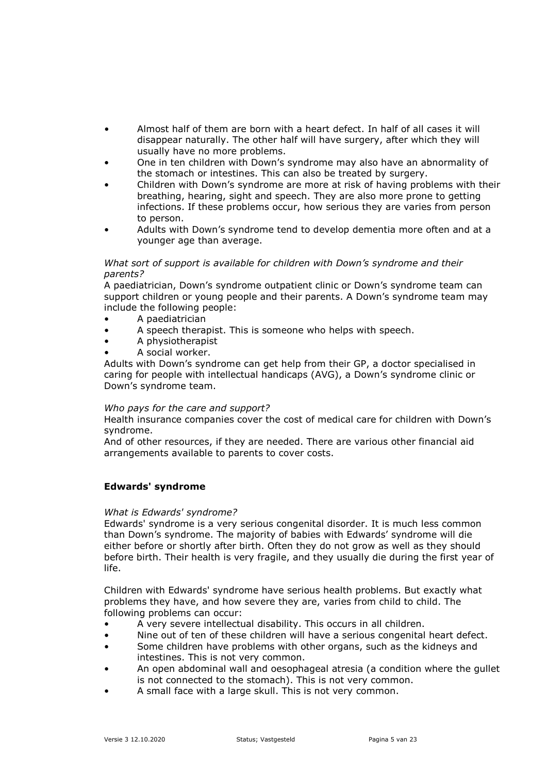- Almost half of them are born with a heart defect. In half of all cases it will disappear naturally. The other half will have surgery, after which they will usually have no more problems.
- One in ten children with Down's syndrome may also have an abnormality of the stomach or intestines. This can also be treated by surgery.
- Children with Down's syndrome are more at risk of having problems with their breathing, hearing, sight and speech. They are also more prone to getting infections. If these problems occur, how serious they are varies from person to person.
- Adults with Down's syndrome tend to develop dementia more often and at a younger age than average.

### *What sort of support is available for children with Down's syndrome and their parents?*

A paediatrician, Down's syndrome outpatient clinic or Down's syndrome team can support children or young people and their parents. A Down's syndrome team may include the following people:

- A paediatrician
- A speech therapist. This is someone who helps with speech.
- A physiotherapist
- A social worker.

Adults with Down's syndrome can get help from their GP, a doctor specialised in caring for people with intellectual handicaps (AVG), a Down's syndrome clinic or Down's syndrome team.

### *Who pays for the care and support?*

Health insurance companies cover the cost of medical care for children with Down's syndrome.

And of other resources, if they are needed. There are various other financial aid arrangements available to parents to cover costs.

### **Edwards' syndrome**

### *What is Edwards' syndrome?*

Edwards' syndrome is a very serious congenital disorder. It is much less common than Down's syndrome. The majority of babies with Edwards' syndrome will die either before or shortly after birth. Often they do not grow as well as they should before birth. Their health is very fragile, and they usually die during the first year of life.

Children with Edwards' syndrome have serious health problems. But exactly what problems they have, and how severe they are, varies from child to child. The following problems can occur:

- A very severe intellectual disability. This occurs in all children.
- Nine out of ten of these children will have a serious congenital heart defect.
- Some children have problems with other organs, such as the kidneys and intestines. This is not very common.
- An open abdominal wall and oesophageal atresia (a condition where the gullet is not connected to the stomach). This is not very common.
- A small face with a large skull. This is not very common.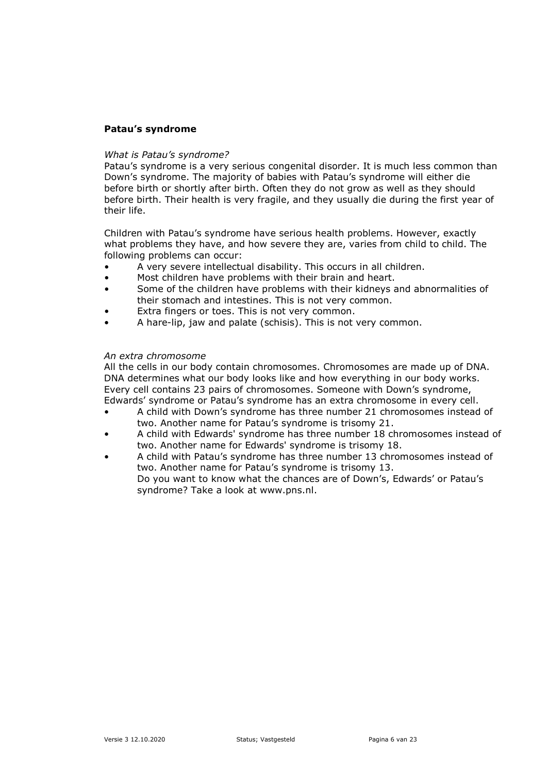### **Patau's syndrome**

#### *What is Patau's syndrome?*

Patau's syndrome is a very serious congenital disorder. It is much less common than Down's syndrome. The majority of babies with Patau's syndrome will either die before birth or shortly after birth. Often they do not grow as well as they should before birth. Their health is very fragile, and they usually die during the first year of their life.

Children with Patau's syndrome have serious health problems. However, exactly what problems they have, and how severe they are, varies from child to child. The following problems can occur:

- A very severe intellectual disability. This occurs in all children.
- Most children have problems with their brain and heart.
- Some of the children have problems with their kidneys and abnormalities of their stomach and intestines. This is not very common.
- Extra fingers or toes. This is not very common.
- A hare-lip, jaw and palate (schisis). This is not very common.

#### *An extra chromosome*

All the cells in our body contain chromosomes. Chromosomes are made up of DNA. DNA determines what our body looks like and how everything in our body works. Every cell contains 23 pairs of chromosomes. Someone with Down's syndrome, Edwards' syndrome or Patau's syndrome has an extra chromosome in every cell.

- A child with Down's syndrome has three number 21 chromosomes instead of two. Another name for Patau's syndrome is trisomy 21.
- A child with Edwards' syndrome has three number 18 chromosomes instead of two. Another name for Edwards' syndrome is trisomy 18.
- A child with Patau's syndrome has three number 13 chromosomes instead of two. Another name for Patau's syndrome is trisomy 13. Do you want to know what the chances are of Down's, Edwards' or Patau's syndrome? Take a look at www.pns.nl.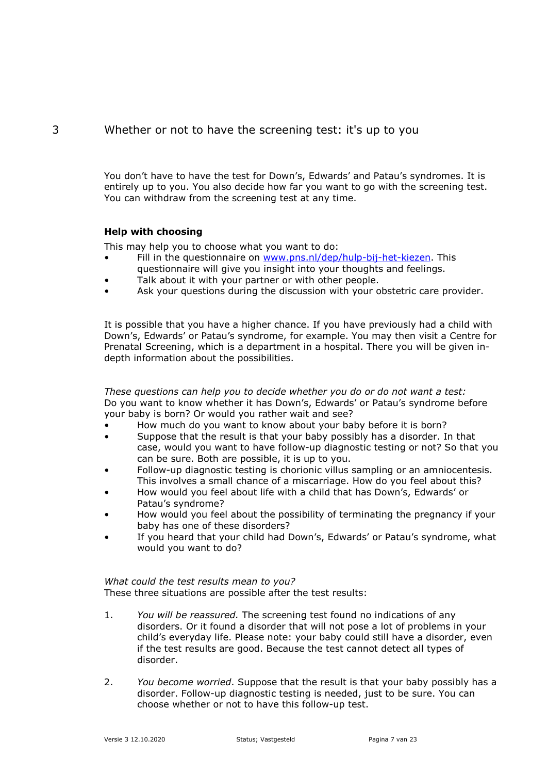# 3 Whether or not to have the screening test: it's up to you

<span id="page-6-0"></span>You don't have to have the test for Down's, Edwards' and Patau's syndromes. It is entirely up to you. You also decide how far you want to go with the screening test. You can withdraw from the screening test at any time.

# **Help with choosing**

This may help you to choose what you want to do:

- Fill in the questionnaire on [www.pns.nl/dep/hulp-bij-het-kiezen.](http://www.pns.nl/dep/hulp-bij-het-kiezen) This questionnaire will give you insight into your thoughts and feelings.
- Talk about it with your partner or with other people.
- Ask your questions during the discussion with your obstetric care provider.

It is possible that you have a higher chance. If you have previously had a child with Down's, Edwards' or Patau's syndrome, for example. You may then visit a Centre for Prenatal Screening, which is a department in a hospital. There you will be given indepth information about the possibilities.

*These questions can help you to decide whether you do or do not want a test:* Do you want to know whether it has Down's, Edwards' or Patau's syndrome before your baby is born? Or would you rather wait and see?

- How much do you want to know about your baby before it is born?
- Suppose that the result is that your baby possibly has a disorder. In that case, would you want to have follow-up diagnostic testing or not? So that you can be sure. Both are possible, it is up to you.
- Follow-up diagnostic testing is chorionic villus sampling or an amniocentesis. This involves a small chance of a miscarriage. How do you feel about this?
- How would you feel about life with a child that has Down's, Edwards' or Patau's syndrome?
- How would you feel about the possibility of terminating the pregnancy if your baby has one of these disorders?
- If you heard that your child had Down's, Edwards' or Patau's syndrome, what would you want to do?

# *What could the test results mean to you?*

These three situations are possible after the test results:

- 1. *You will be reassured.* The screening test found no indications of any disorders. Or it found a disorder that will not pose a lot of problems in your child's everyday life. Please note: your baby could still have a disorder, even if the test results are good. Because the test cannot detect all types of disorder.
- 2. *You become worried*. Suppose that the result is that your baby possibly has a disorder. Follow-up diagnostic testing is needed, just to be sure. You can choose whether or not to have this follow-up test.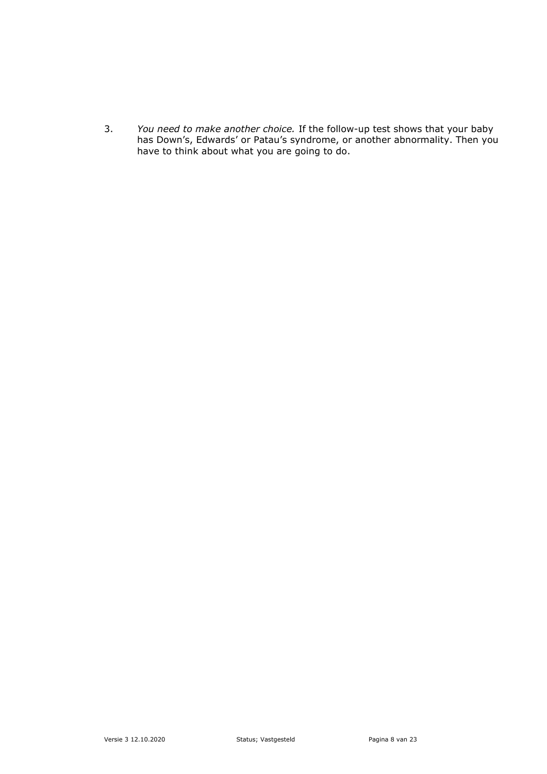3. *You need to make another choice.* If the follow-up test shows that your baby has Down's, Edwards' or Patau's syndrome, or another abnormality. Then you have to think about what you are going to do.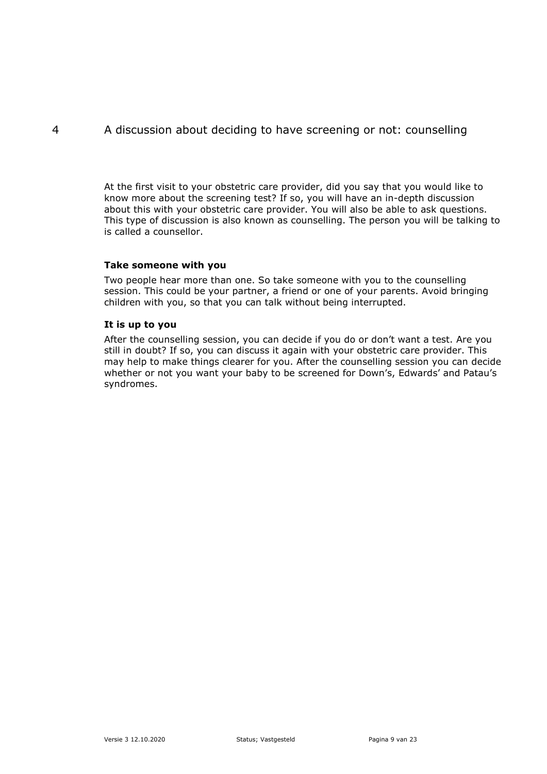# <span id="page-8-0"></span>4 A discussion about deciding to have screening or not: counselling

At the first visit to your obstetric care provider, did you say that you would like to know more about the screening test? If so, you will have an in-depth discussion about this with your obstetric care provider. You will also be able to ask questions. This type of discussion is also known as counselling. The person you will be talking to is called a counsellor.

### **Take someone with you**

Two people hear more than one. So take someone with you to the counselling session. This could be your partner, a friend or one of your parents. Avoid bringing children with you, so that you can talk without being interrupted.

### **It is up to you**

After the counselling session, you can decide if you do or don't want a test. Are you still in doubt? If so, you can discuss it again with your obstetric care provider. This may help to make things clearer for you. After the counselling session you can decide whether or not you want your baby to be screened for Down's, Edwards' and Patau's syndromes.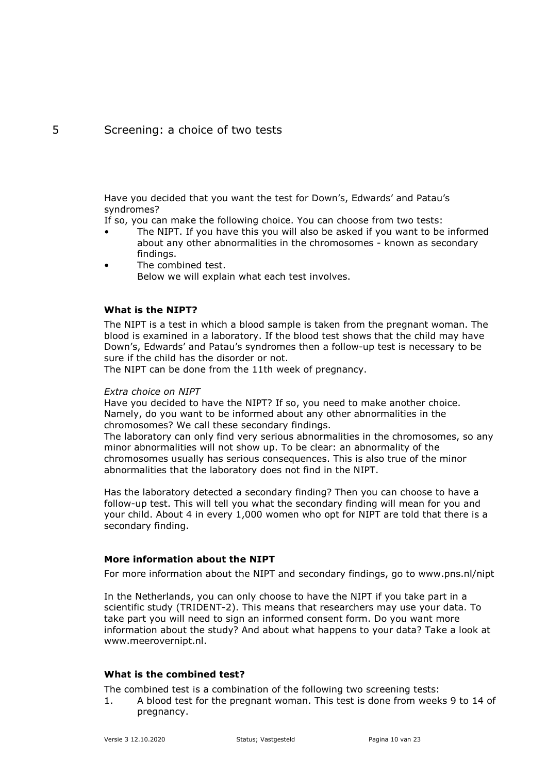# <span id="page-9-0"></span>5 Screening: a choice of two tests

Have you decided that you want the test for Down's, Edwards' and Patau's syndromes?

If so, you can make the following choice. You can choose from two tests:

- The NIPT. If you have this you will also be asked if you want to be informed about any other abnormalities in the chromosomes - known as secondary findings.
- The combined test. Below we will explain what each test involves.

### **What is the NIPT?**

The NIPT is a test in which a blood sample is taken from the pregnant woman. The blood is examined in a laboratory. If the blood test shows that the child may have Down's, Edwards' and Patau's syndromes then a follow-up test is necessary to be sure if the child has the disorder or not.

The NIPT can be done from the 11th week of pregnancy.

#### *Extra choice on NIPT*

Have you decided to have the NIPT? If so, you need to make another choice. Namely, do you want to be informed about any other abnormalities in the chromosomes? We call these secondary findings.

The laboratory can only find very serious abnormalities in the chromosomes, so any minor abnormalities will not show up. To be clear: an abnormality of the chromosomes usually has serious consequences. This is also true of the minor abnormalities that the laboratory does not find in the NIPT.

Has the laboratory detected a secondary finding? Then you can choose to have a follow-up test. This will tell you what the secondary finding will mean for you and your child. About 4 in every 1,000 women who opt for NIPT are told that there is a secondary finding.

### **More information about the NIPT**

For more information about the NIPT and secondary findings, go to www.pns.nl/nipt

In the Netherlands, you can only choose to have the NIPT if you take part in a scientific study (TRIDENT-2). This means that researchers may use your data. To take part you will need to sign an informed consent form. Do you want more information about the study? And about what happens to your data? Take a look at www.meerovernipt.nl.

### **What is the combined test?**

The combined test is a combination of the following two screening tests:

1. A blood test for the pregnant woman. This test is done from weeks 9 to 14 of pregnancy.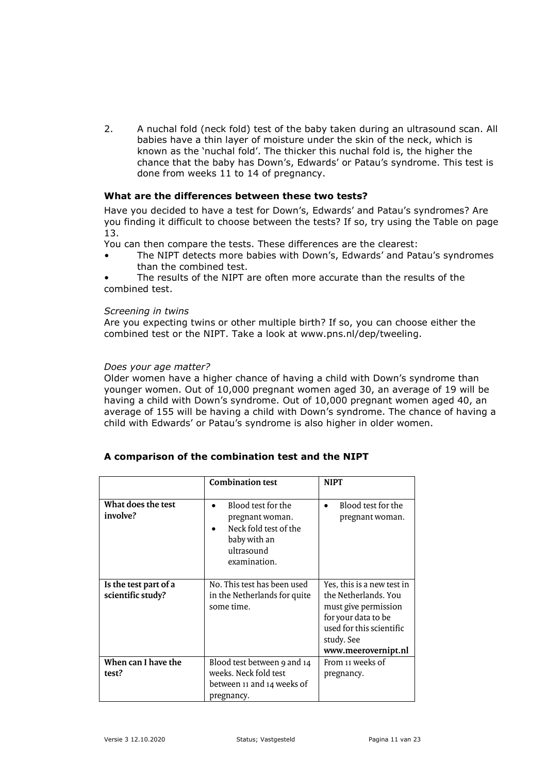2. A nuchal fold (neck fold) test of the baby taken during an ultrasound scan. All babies have a thin layer of moisture under the skin of the neck, which is known as the 'nuchal fold'. The thicker this nuchal fold is, the higher the chance that the baby has Down's, Edwards' or Patau's syndrome. This test is done from weeks 11 to 14 of pregnancy.

#### **What are the differences between these two tests?**

Have you decided to have a test for Down's, Edwards' and Patau's syndromes? Are you finding it difficult to choose between the tests? If so, try using the Table on page 13.

You can then compare the tests. These differences are the clearest:

- The NIPT detects more babies with Down's, Edwards' and Patau's syndromes than the combined test.
- The results of the NIPT are often more accurate than the results of the combined test.

#### *Screening in twins*

Are you expecting twins or other multiple birth? If so, you can choose either the combined test or the NIPT. Take a look at www.pns.nl/dep/tweeling.

#### *Does your age matter?*

Older women have a higher chance of having a child with Down's syndrome than younger women. Out of 10,000 pregnant women aged 30, an average of 19 will be having a child with Down's syndrome. Out of 10,000 pregnant women aged 40, an average of 155 will be having a child with Down's syndrome. The chance of having a child with Edwards' or Patau's syndrome is also higher in older women.

|                                            | <b>Combination test</b>                                                                                      | <b>NIPT</b>                                                                                                                                                        |
|--------------------------------------------|--------------------------------------------------------------------------------------------------------------|--------------------------------------------------------------------------------------------------------------------------------------------------------------------|
| What does the test<br>involve?             | Blood test for the<br>pregnant woman.<br>Neck fold test of the<br>baby with an<br>ultrasound<br>examination. | Blood test for the<br>pregnant woman.                                                                                                                              |
| Is the test part of a<br>scientific study? | No. This test has been used<br>in the Netherlands for quite<br>some time.                                    | Yes, this is a new test in<br>the Netherlands. You<br>must give permission<br>for your data to be<br>used for this scientific<br>study. See<br>www.meerovernipt.nl |
| When can I have the<br>test?               | Blood test between 9 and 14<br>weeks. Neck fold test<br>between 11 and 14 weeks of<br>pregnancy.             | From 11 weeks of<br>pregnancy.                                                                                                                                     |

# **A comparison of the combination test and the NIPT**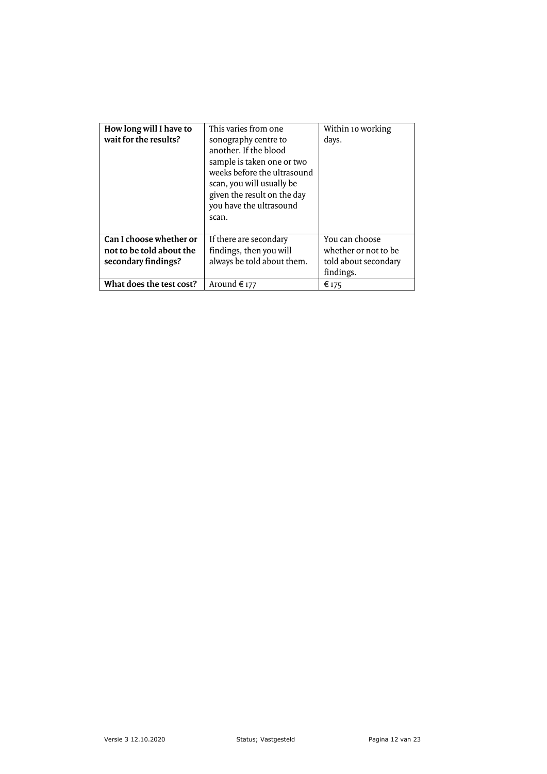| How long will I have to<br>wait for the results? | This varies from one<br>sonography centre to<br>another. If the blood<br>sample is taken one or two<br>weeks before the ultrasound<br>scan, you will usually be<br>given the result on the day<br>you have the ultrasound<br>scan. | Within 10 working<br>days. |
|--------------------------------------------------|------------------------------------------------------------------------------------------------------------------------------------------------------------------------------------------------------------------------------------|----------------------------|
| Can I choose whether or                          | If there are secondary                                                                                                                                                                                                             | You can choose             |
| not to be told about the                         | findings, then you will                                                                                                                                                                                                            | whether or not to be       |
| secondary findings?                              | always be told about them.                                                                                                                                                                                                         | told about secondary       |
|                                                  |                                                                                                                                                                                                                                    | findings.                  |
| What does the test cost?                         | Around $\epsilon$ 177                                                                                                                                                                                                              | € 175                      |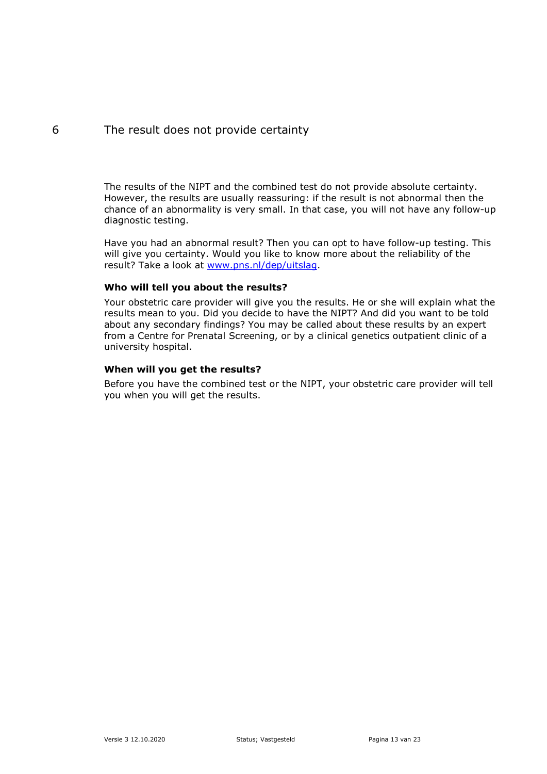# <span id="page-12-0"></span>6 The result does not provide certainty

The results of the NIPT and the combined test do not provide absolute certainty. However, the results are usually reassuring: if the result is not abnormal then the chance of an abnormality is very small. In that case, you will not have any follow-up diagnostic testing.

Have you had an abnormal result? Then you can opt to have follow-up testing. This will give you certainty. Would you like to know more about the reliability of the result? Take a look at [www.pns.nl/dep/uitslag.](http://www.pns.nl/dep/uitslag)

# **Who will tell you about the results?**

Your obstetric care provider will give you the results. He or she will explain what the results mean to you. Did you decide to have the NIPT? And did you want to be told about any secondary findings? You may be called about these results by an expert from a Centre for Prenatal Screening, or by a clinical genetics outpatient clinic of a university hospital.

# **When will you get the results?**

Before you have the combined test or the NIPT, your obstetric care provider will tell you when you will get the results.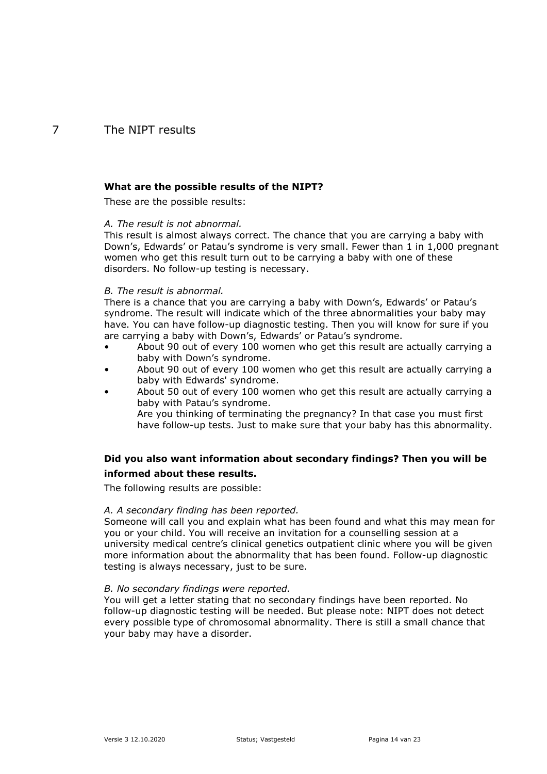# <span id="page-13-0"></span>7 The NIPT results

#### **What are the possible results of the NIPT?**

These are the possible results:

#### *A. The result is not abnormal.*

This result is almost always correct. The chance that you are carrying a baby with Down's, Edwards' or Patau's syndrome is very small. Fewer than 1 in 1,000 pregnant women who get this result turn out to be carrying a baby with one of these disorders. No follow-up testing is necessary.

#### *B. The result is abnormal.*

There is a chance that you are carrying a baby with Down's, Edwards' or Patau's syndrome. The result will indicate which of the three abnormalities your baby may have. You can have follow-up diagnostic testing. Then you will know for sure if you are carrying a baby with Down's, Edwards' or Patau's syndrome.

- About 90 out of every 100 women who get this result are actually carrying a baby with Down's syndrome.
- About 90 out of every 100 women who get this result are actually carrying a baby with Edwards' syndrome.
- About 50 out of every 100 women who get this result are actually carrying a baby with Patau's syndrome.

Are you thinking of terminating the pregnancy? In that case you must first have follow-up tests. Just to make sure that your baby has this abnormality.

# **Did you also want information about secondary findings? Then you will be informed about these results.**

The following results are possible:

#### *A. A secondary finding has been reported.*

Someone will call you and explain what has been found and what this may mean for you or your child. You will receive an invitation for a counselling session at a university medical centre's clinical genetics outpatient clinic where you will be given more information about the abnormality that has been found. Follow-up diagnostic testing is always necessary, just to be sure.

#### *B. No secondary findings were reported.*

You will get a letter stating that no secondary findings have been reported. No follow-up diagnostic testing will be needed. But please note: NIPT does not detect every possible type of chromosomal abnormality. There is still a small chance that your baby may have a disorder.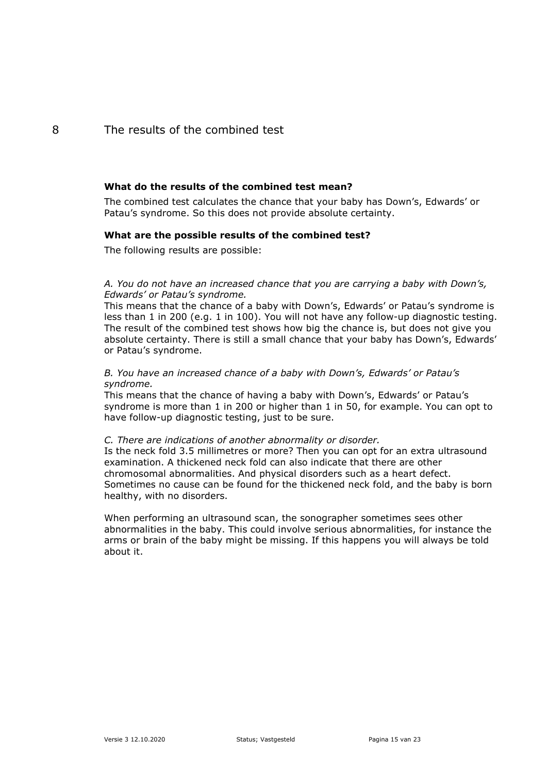# <span id="page-14-0"></span>8 The results of the combined test

#### **What do the results of the combined test mean?**

The combined test calculates the chance that your baby has Down's, Edwards' or Patau's syndrome. So this does not provide absolute certainty.

#### **What are the possible results of the combined test?**

The following results are possible:

*A. You do not have an increased chance that you are carrying a baby with Down's, Edwards' or Patau's syndrome.* 

This means that the chance of a baby with Down's, Edwards' or Patau's syndrome is less than 1 in 200 (e.g. 1 in 100). You will not have any follow-up diagnostic testing. The result of the combined test shows how big the chance is, but does not give you absolute certainty. There is still a small chance that your baby has Down's, Edwards' or Patau's syndrome.

#### *B. You have an increased chance of a baby with Down's, Edwards' or Patau's syndrome.*

This means that the chance of having a baby with Down's, Edwards' or Patau's syndrome is more than 1 in 200 or higher than 1 in 50, for example. You can opt to have follow-up diagnostic testing, just to be sure.

#### *C. There are indications of another abnormality or disorder.*

Is the neck fold 3.5 millimetres or more? Then you can opt for an extra ultrasound examination. A thickened neck fold can also indicate that there are other chromosomal abnormalities. And physical disorders such as a heart defect. Sometimes no cause can be found for the thickened neck fold, and the baby is born healthy, with no disorders.

When performing an ultrasound scan, the sonographer sometimes sees other abnormalities in the baby. This could involve serious abnormalities, for instance the arms or brain of the baby might be missing. If this happens you will always be told about it.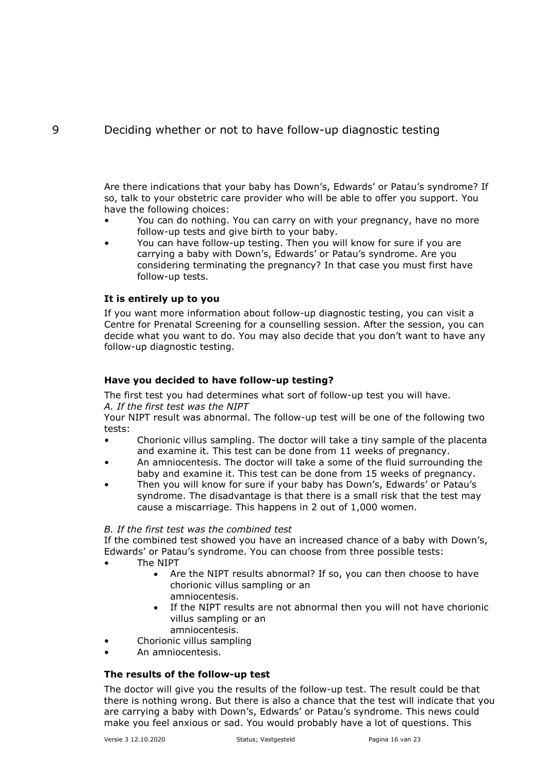<span id="page-15-0"></span>Are there indications that your baby has Down's, Edwards' or Patau's syndrome? If so, talk to your obstetric care provider who will be able to offer you support. You have the following choices:

- You can do nothing. You can carry on with your pregnancy, have no more follow-up tests and give birth to your baby.
- You can have follow-up testing. Then you will know for sure if you are carrying a baby with Down's, Edwards' or Patau's syndrome. Are you considering terminating the pregnancy? In that case you must first have follow-up tests.

# **It is entirely up to you**

If you want more information about follow-up diagnostic testing, you can visit a Centre for Prenatal Screening for a counselling session. After the session, you can decide what you want to do. You may also decide that you don't want to have any follow-up diagnostic testing.

# **Have you decided to have follow-up testing?**

The first test you had determines what sort of follow-up test you will have.

# *A. If the first test was the NIPT*

Your NIPT result was abnormal. The follow-up test will be one of the following two tests:

- Chorionic villus sampling. The doctor will take a tiny sample of the placenta and examine it. This test can be done from 11 weeks of pregnancy.
- An amniocentesis. The doctor will take a some of the fluid surrounding the baby and examine it. This test can be done from 15 weeks of pregnancy.
- Then you will know for sure if your baby has Down's, Edwards' or Patau's syndrome. The disadvantage is that there is a small risk that the test may cause a miscarriage. This happens in 2 out of 1,000 women.

### *B. If the first test was the combined test*

If the combined test showed you have an increased chance of a baby with Down's, Edwards' or Patau's syndrome. You can choose from three possible tests:

- The NIPT
	- Are the NIPT results abnormal? If so, you can then choose to have chorionic villus sampling or an amniocentesis.
	- If the NIPT results are not abnormal then you will not have chorionic villus sampling or an
	- amniocentesis.
- Chorionic villus sampling
- An amniocentesis.

# **The results of the follow-up test**

The doctor will give you the results of the follow-up test. The result could be that there is nothing wrong. But there is also a chance that the test will indicate that you are carrying a baby with Down's, Edwards' or Patau's syndrome. This news could make you feel anxious or sad. You would probably have a lot of questions. This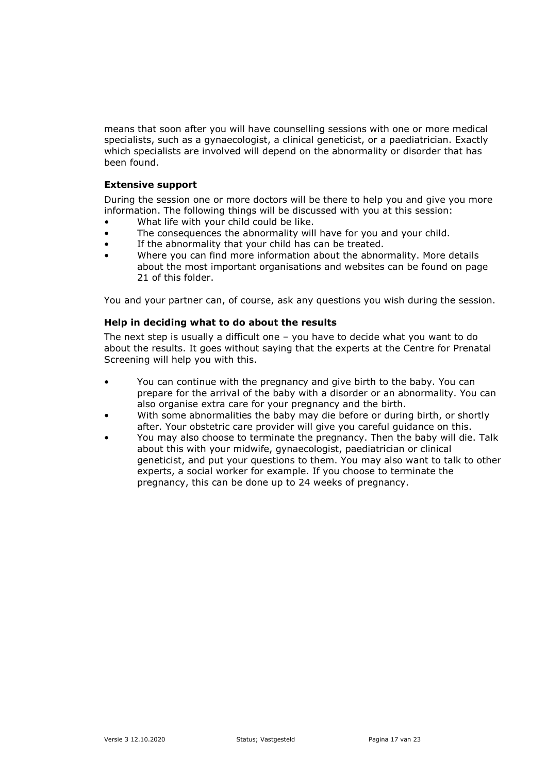means that soon after you will have counselling sessions with one or more medical specialists, such as a gynaecologist, a clinical geneticist, or a paediatrician. Exactly which specialists are involved will depend on the abnormality or disorder that has been found.

### **Extensive support**

During the session one or more doctors will be there to help you and give you more information. The following things will be discussed with you at this session:

- What life with your child could be like.
- The consequences the abnormality will have for you and your child.
- If the abnormality that your child has can be treated.
- Where you can find more information about the abnormality. More details about the most important organisations and websites can be found on page 21 of this folder.

You and your partner can, of course, ask any questions you wish during the session.

### **Help in deciding what to do about the results**

The next step is usually a difficult one – you have to decide what you want to do about the results. It goes without saying that the experts at the Centre for Prenatal Screening will help you with this.

- You can continue with the pregnancy and give birth to the baby. You can prepare for the arrival of the baby with a disorder or an abnormality. You can also organise extra care for your pregnancy and the birth.
- With some abnormalities the baby may die before or during birth, or shortly after. Your obstetric care provider will give you careful guidance on this.
- You may also choose to terminate the pregnancy. Then the baby will die. Talk about this with your midwife, gynaecologist, paediatrician or clinical geneticist, and put your questions to them. You may also want to talk to other experts, a social worker for example. If you choose to terminate the pregnancy, this can be done up to 24 weeks of pregnancy.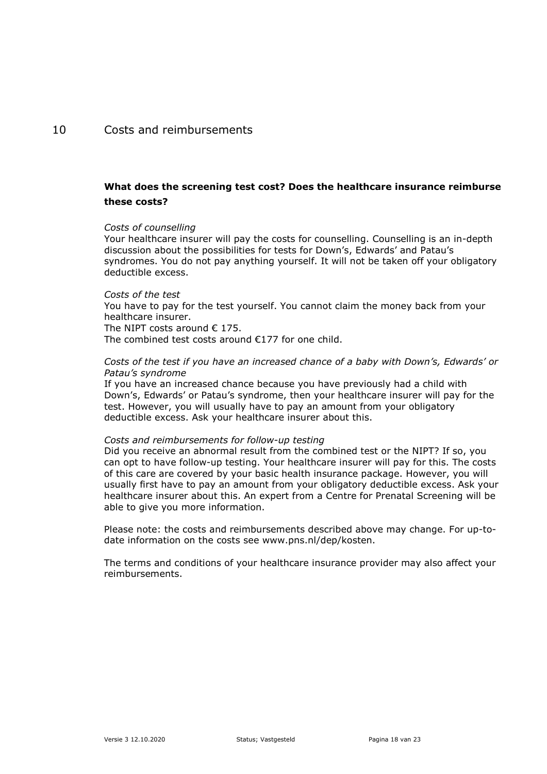# <span id="page-17-0"></span>10 Costs and reimbursements

# **What does the screening test cost? Does the healthcare insurance reimburse these costs?**

#### *Costs of counselling*

Your healthcare insurer will pay the costs for counselling. Counselling is an in-depth discussion about the possibilities for tests for Down's, Edwards' and Patau's syndromes. You do not pay anything yourself. It will not be taken off your obligatory deductible excess.

#### *Costs of the test*

You have to pay for the test yourself. You cannot claim the money back from your healthcare insurer.

The NIPT costs around  $\epsilon$  175.

The combined test costs around €177 for one child.

### *Costs of the test if you have an increased chance of a baby with Down's, Edwards' or Patau's syndrome*

If you have an increased chance because you have previously had a child with Down's, Edwards' or Patau's syndrome, then your healthcare insurer will pay for the test. However, you will usually have to pay an amount from your obligatory deductible excess. Ask your healthcare insurer about this.

#### *Costs and reimbursements for follow-up testing*

Did you receive an abnormal result from the combined test or the NIPT? If so, you can opt to have follow-up testing. Your healthcare insurer will pay for this. The costs of this care are covered by your basic health insurance package. However, you will usually first have to pay an amount from your obligatory deductible excess. Ask your healthcare insurer about this. An expert from a Centre for Prenatal Screening will be able to give you more information.

Please note: the costs and reimbursements described above may change. For up-todate information on the costs see www.pns.nl/dep/kosten.

The terms and conditions of your healthcare insurance provider may also affect your reimbursements.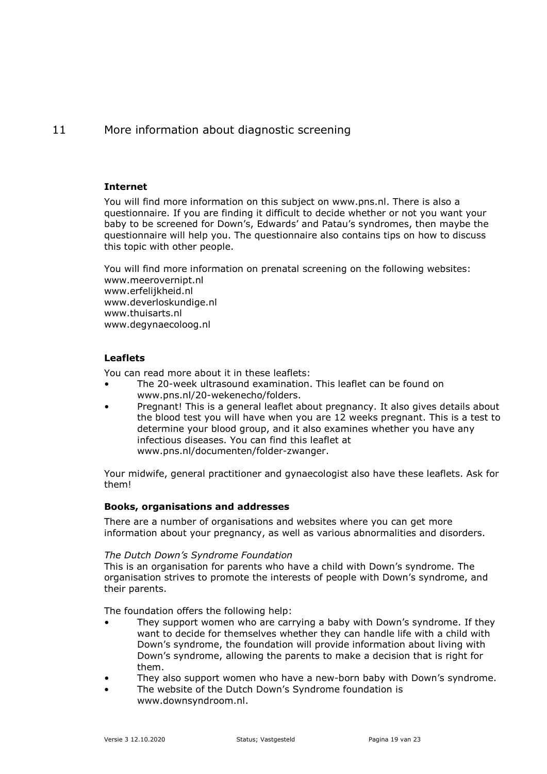# <span id="page-18-0"></span>11 More information about diagnostic screening

#### **Internet**

You will find more information on this subject on www.pns.nl. There is also a questionnaire. If you are finding it difficult to decide whether or not you want your baby to be screened for Down's, Edwards' and Patau's syndromes, then maybe the questionnaire will help you. The questionnaire also contains tips on how to discuss this topic with other people.

You will find more information on prenatal screening on the following websites: www.meerovernipt.nl www.erfelijkheid.nl www.deverloskundige.nl www.thuisarts.nl www.degynaecoloog.nl

# **Leaflets**

You can read more about it in these leaflets:

- The 20-week ultrasound examination. This leaflet can be found on www.pns.nl/20-wekenecho/folders.
- Pregnant! This is a general leaflet about pregnancy. It also gives details about the blood test you will have when you are 12 weeks pregnant. This is a test to determine your blood group, and it also examines whether you have any infectious diseases. You can find this leaflet at www.pns.nl/documenten/folder-zwanger.

Your midwife, general practitioner and gynaecologist also have these leaflets. Ask for them!

### **Books, organisations and addresses**

There are a number of organisations and websites where you can get more information about your pregnancy, as well as various abnormalities and disorders.

### *The Dutch Down's Syndrome Foundation*

This is an organisation for parents who have a child with Down's syndrome. The organisation strives to promote the interests of people with Down's syndrome, and their parents.

The foundation offers the following help:

- They support women who are carrying a baby with Down's syndrome. If they want to decide for themselves whether they can handle life with a child with Down's syndrome, the foundation will provide information about living with Down's syndrome, allowing the parents to make a decision that is right for them.
- They also support women who have a new-born baby with Down's syndrome.
- The website of the Dutch Down's Syndrome foundation is www.downsyndroom.nl.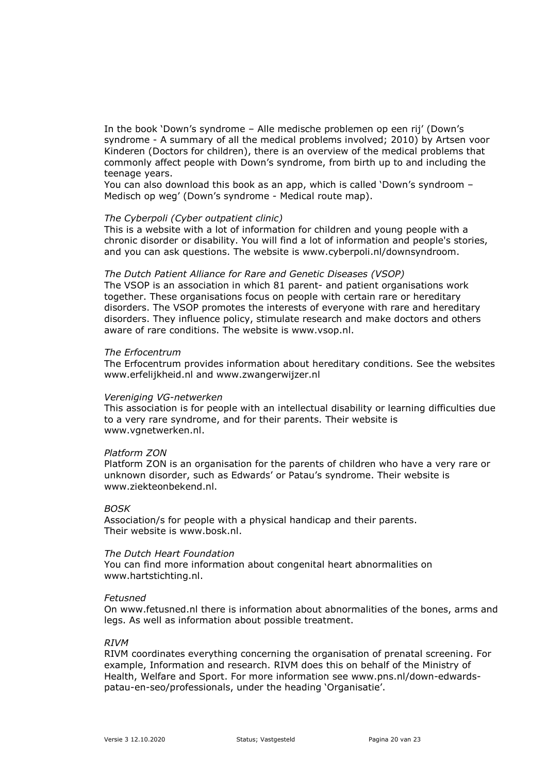In the book 'Down's syndrome – Alle medische problemen op een rij' (Down's syndrome - A summary of all the medical problems involved; 2010) by Artsen voor Kinderen (Doctors for children), there is an overview of the medical problems that commonly affect people with Down's syndrome, from birth up to and including the teenage years.

You can also download this book as an app, which is called 'Down's syndroom – Medisch op weg' (Down's syndrome - Medical route map).

#### *The Cyberpoli (Cyber outpatient clinic)*

This is a website with a lot of information for children and young people with a chronic disorder or disability. You will find a lot of information and people's stories, and you can ask questions. The website is www.cyberpoli.nl/downsyndroom.

#### *The Dutch Patient Alliance for Rare and Genetic Diseases (VSOP)*

The VSOP is an association in which 81 parent- and patient organisations work together. These organisations focus on people with certain rare or hereditary disorders. The VSOP promotes the interests of everyone with rare and hereditary disorders. They influence policy, stimulate research and make doctors and others aware of rare conditions. The website is www.vsop.nl.

#### *The Erfocentrum*

The Erfocentrum provides information about hereditary conditions. See the websites www.erfelijkheid.nl and www.zwangerwijzer.nl

#### *Vereniging VG-netwerken*

This association is for people with an intellectual disability or learning difficulties due to a very rare syndrome, and for their parents. Their website is www.vgnetwerken.nl.

#### *Platform ZON*

Platform ZON is an organisation for the parents of children who have a very rare or unknown disorder, such as Edwards' or Patau's syndrome. Their website is www.ziekteonbekend.nl.

#### *BOSK*

Association/s for people with a physical handicap and their parents. Their website is www.bosk.nl.

#### *The Dutch Heart Foundation*

You can find more information about congenital heart abnormalities on www.hartstichting.nl.

#### *Fetusned*

On www.fetusned.nl there is information about abnormalities of the bones, arms and legs. As well as information about possible treatment.

#### *RIVM*

RIVM coordinates everything concerning the organisation of prenatal screening. For example, Information and research. RIVM does this on behalf of the Ministry of Health, Welfare and Sport. For more information see www.pns.nl/down-edwardspatau-en-seo/professionals, under the heading 'Organisatie'.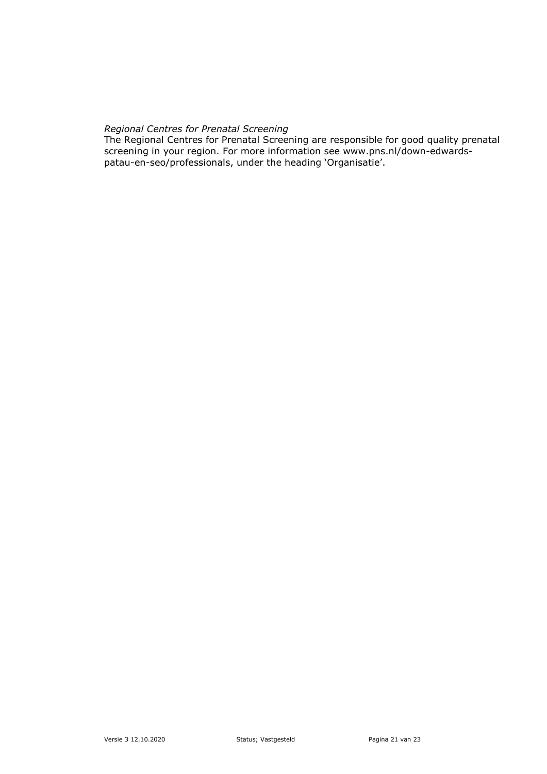# *Regional Centres for Prenatal Screening*

The Regional Centres for Prenatal Screening are responsible for good quality prenatal screening in your region. For more information see www.pns.nl/down-edwardspatau-en-seo/professionals, under the heading 'Organisatie'.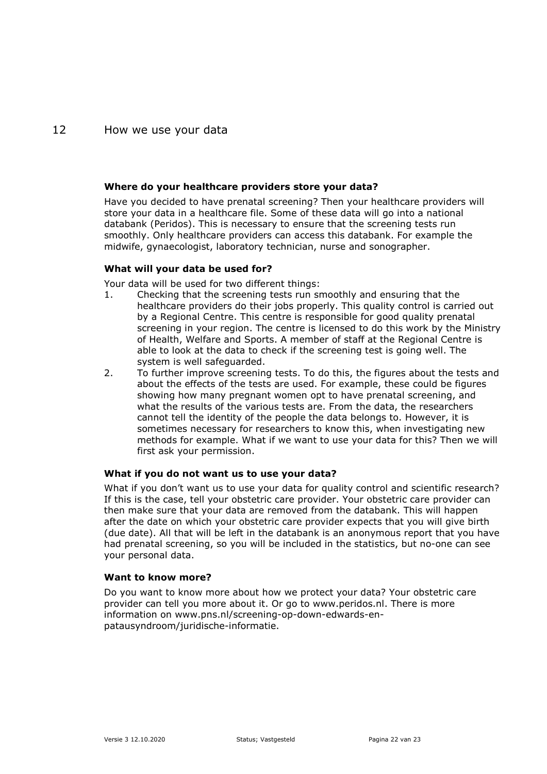# <span id="page-21-0"></span>12 How we use your data

#### **Where do your healthcare providers store your data?**

Have you decided to have prenatal screening? Then your healthcare providers will store your data in a healthcare file. Some of these data will go into a national databank (Peridos). This is necessary to ensure that the screening tests run smoothly. Only healthcare providers can access this databank. For example the midwife, gynaecologist, laboratory technician, nurse and sonographer.

#### **What will your data be used for?**

Your data will be used for two different things:

- 1. Checking that the screening tests run smoothly and ensuring that the healthcare providers do their jobs properly. This quality control is carried out by a Regional Centre. This centre is responsible for good quality prenatal screening in your region. The centre is licensed to do this work by the Ministry of Health, Welfare and Sports. A member of staff at the Regional Centre is able to look at the data to check if the screening test is going well. The system is well safeguarded.
- 2. To further improve screening tests. To do this, the figures about the tests and about the effects of the tests are used. For example, these could be figures showing how many pregnant women opt to have prenatal screening, and what the results of the various tests are. From the data, the researchers cannot tell the identity of the people the data belongs to. However, it is sometimes necessary for researchers to know this, when investigating new methods for example. What if we want to use your data for this? Then we will first ask your permission.

### **What if you do not want us to use your data?**

What if you don't want us to use your data for quality control and scientific research? If this is the case, tell your obstetric care provider. Your obstetric care provider can then make sure that your data are removed from the databank. This will happen after the date on which your obstetric care provider expects that you will give birth (due date). All that will be left in the databank is an anonymous report that you have had prenatal screening, so you will be included in the statistics, but no-one can see your personal data.

### **Want to know more?**

Do you want to know more about how we protect your data? Your obstetric care provider can tell you more about it. Or go to www.peridos.nl. There is more information on www.pns.nl/screening-op-down-edwards-enpatausyndroom/juridische-informatie.